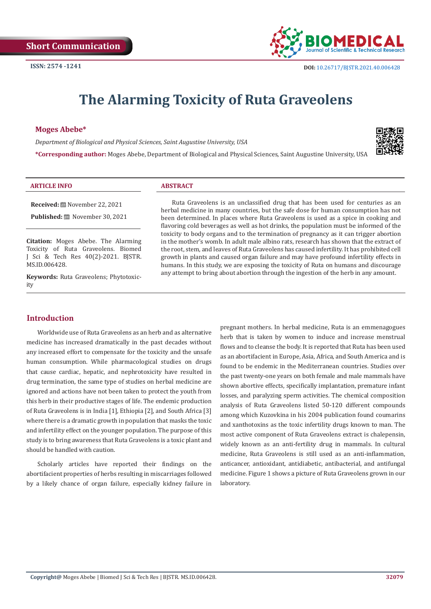

# **The Alarming Toxicity of Ruta Graveolens**

#### **Moges Abebe\***

*Department of Biological and Physical Sciences, Saint Augustine University, USA*

**\*Corresponding author:** Moges Abebe, Department of Biological and Physical Sciences, Saint Augustine University, USA



#### **ARTICLE INFO ABSTRACT**

**Received:** November 22, 2021

Published: <sup>圖</sup> November 30, 2021

**Citation:** Moges Abebe. The Alarming Toxicity of Ruta Graveolens. Biomed J Sci & Tech Res 40(2)-2021. BJSTR. MS.ID.006428.

**Keywords:** Ruta Graveolens; Phytotoxicity

Ruta Graveolens is an unclassified drug that has been used for centuries as an herbal medicine in many countries, but the safe dose for human consumption has not been determined. In places where Ruta Graveolens is used as a spice in cooking and flavoring cold beverages as well as hot drinks, the population must be informed of the toxicity to body organs and to the termination of pregnancy as it can trigger abortion in the mother's womb. In adult male albino rats, research has shown that the extract of the root, stem, and leaves of Ruta Graveolens has caused infertility. It has prohibited cell growth in plants and caused organ failure and may have profound infertility effects in humans. In this study, we are exposing the toxicity of Ruta on humans and discourage any attempt to bring about abortion through the ingestion of the herb in any amount.

# **Introduction**

Worldwide use of Ruta Graveolens as an herb and as alternative medicine has increased dramatically in the past decades without any increased effort to compensate for the toxicity and the unsafe human consumption. While pharmacological studies on drugs that cause cardiac, hepatic, and nephrotoxicity have resulted in drug termination, the same type of studies on herbal medicine are ignored and actions have not been taken to protect the youth from this herb in their productive stages of life. The endemic production of Ruta Graveolens is in India [1], Ethiopia [2], and South Africa [3] where there is a dramatic growth in population that masks the toxic and infertility effect on the younger population. The purpose of this study is to bring awareness that Ruta Graveolens is a toxic plant and should be handled with caution.

Scholarly articles have reported their findings on the abortifacient properties of herbs resulting in miscarriages followed by a likely chance of organ failure, especially kidney failure in pregnant mothers. In herbal medicine, Ruta is an emmenagogues herb that is taken by women to induce and increase menstrual flows and to cleanse the body. It is reported that Ruta has been used as an abortifacient in Europe, Asia, Africa, and South America and is found to be endemic in the Mediterranean countries. Studies over the past twenty-one years on both female and male mammals have shown abortive effects, specifically implantation, premature infant losses, and paralyzing sperm activities. The chemical composition analysis of Ruta Graveolens listed 50-120 different compounds among which Kuzovkina in his 2004 publication found coumarins and xanthotoxins as the toxic infertility drugs known to man. The most active component of Ruta Graveolens extract is chalepensin, widely known as an anti-fertility drug in mammals. In cultural medicine, Ruta Graveolens is still used as an anti-inflammation, anticancer, antioxidant, antidiabetic, antibacterial, and antifungal medicine. Figure 1 shows a picture of Ruta Graveolens grown in our laboratory.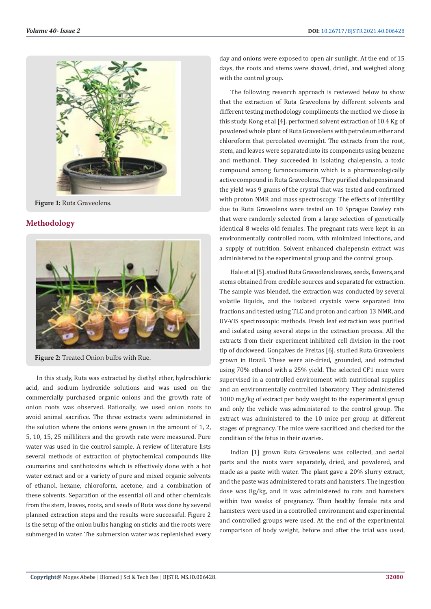

**Figure 1:** Ruta Graveolens.

#### **Methodology**



**Figure 2:** Treated Onion bulbs with Rue.

In this study, Ruta was extracted by diethyl ether, hydrochloric acid, and sodium hydroxide solutions and was used on the commercially purchased organic onions and the growth rate of onion roots was observed. Rationally, we used onion roots to avoid animal sacrifice. The three extracts were administered in the solution where the onions were grown in the amount of 1, 2, 5, 10, 15, 25 milliliters and the growth rate were measured. Pure water was used in the control sample. A review of literature lists several methods of extraction of phytochemical compounds like coumarins and xanthotoxins which is effectively done with a hot water extract and or a variety of pure and mixed organic solvents of ethanol, hexane, chloroform, acetone, and a combination of these solvents. Separation of the essential oil and other chemicals from the stem, leaves, roots, and seeds of Ruta was done by several planned extraction steps and the results were successful. Figure 2 is the setup of the onion bulbs hanging on sticks and the roots were submerged in water. The submersion water was replenished every

day and onions were exposed to open air sunlight. At the end of 15 days, the roots and stems were shaved, dried, and weighed along with the control group.

The following research approach is reviewed below to show that the extraction of Ruta Graveolens by different solvents and different testing methodology compliments the method we chose in this study. Kong et al [4]. performed solvent extraction of 10.4 Kg of powdered whole plant of Ruta Graveolens with petroleum ether and chloroform that percolated overnight. The extracts from the root, stem, and leaves were separated into its components using benzene and methanol. They succeeded in isolating chalepensin, a toxic compound among furanocoumarin which is a pharmacologically active compound in Ruta Graveolens. They purified chalepensin and the yield was 9 grams of the crystal that was tested and confirmed with proton NMR and mass spectroscopy. The effects of infertility due to Ruta Graveolens were tested on 10 Sprague Dawley rats that were randomly selected from a large selection of genetically identical 8 weeks old females. The pregnant rats were kept in an environmentally controlled room, with minimized infections, and a supply of nutrition. Solvent enhanced chalepensin extract was administered to the experimental group and the control group.

Hale et al [5]. studied Ruta Graveolens leaves, seeds, flowers, and stems obtained from credible sources and separated for extraction. The sample was blended, the extraction was conducted by several volatile liquids, and the isolated crystals were separated into fractions and tested using TLC and proton and carbon 13 NMR, and UV-VIS spectroscopic methods. Fresh leaf extraction was purified and isolated using several steps in the extraction process. All the extracts from their experiment inhibited cell division in the root tip of duckweed. Gonçalves de Freitas [6]. studied Ruta Graveolens grown in Brazil. These were air-dried, grounded, and extracted using 70% ethanol with a 25% yield. The selected CF1 mice were supervised in a controlled environment with nutritional supplies and an environmentally controlled laboratory. They administered 1000 mg/kg of extract per body weight to the experimental group and only the vehicle was administered to the control group. The extract was administered to the 10 mice per group at different stages of pregnancy. The mice were sacrificed and checked for the condition of the fetus in their ovaries.

Indian [1] grown Ruta Graveolens was collected, and aerial parts and the roots were separately, dried, and powdered, and made as a paste with water. The plant gave a 20% slurry extract, and the paste was administered to rats and hamsters. The ingestion dose was 8g/kg, and it was administered to rats and hamsters within two weeks of pregnancy. Then healthy female rats and hamsters were used in a controlled environment and experimental and controlled groups were used. At the end of the experimental comparison of body weight, before and after the trial was used,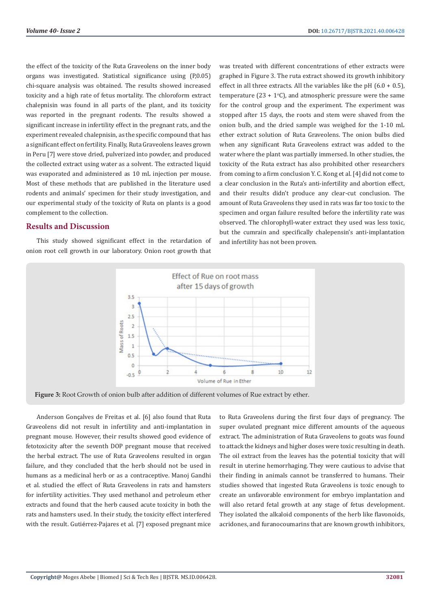the effect of the toxicity of the Ruta Graveolens on the inner body organs was investigated. Statistical significance using (P,0.05) chi-square analysis was obtained. The results showed increased toxicity and a high rate of fetus mortality. The chloroform extract chalepnisin was found in all parts of the plant, and its toxicity was reported in the pregnant rodents. The results showed a significant increase in infertility effect in the pregnant rats, and the experiment revealed chalepnisin, as the specific compound that has a significant effect on fertility. Finally, Ruta Graveolens leaves grown in Peru [7] were stove dried, pulverized into powder, and produced the collected extract using water as a solvent. The extracted liquid was evaporated and administered as 10 mL injection per mouse. Most of these methods that are published in the literature used rodents and animals' specimen for their study investigation, and our experimental study of the toxicity of Ruta on plants is a good complement to the collection.

# **Results and Discussion**

This study showed significant effect in the retardation of onion root cell growth in our laboratory. Onion root growth that was treated with different concentrations of ether extracts were graphed in Figure 3. The ruta extract showed its growth inhibitory effect in all three extracts. All the variables like the pH  $(6.0 + 0.5)$ . temperature  $(23 + 1^{\circ}C)$ , and atmospheric pressure were the same for the control group and the experiment. The experiment was stopped after 15 days, the roots and stem were shaved from the onion bulb, and the dried sample was weighed for the 1-10 mL ether extract solution of Ruta Graveolens. The onion bulbs died when any significant Ruta Graveolens extract was added to the water where the plant was partially immersed. In other studies, the toxicity of the Ruta extract has also prohibited other researchers from coming to a firm conclusion Y. C. Kong et al. [4] did not come to a clear conclusion in the Ruta's anti-infertility and abortion effect, and their results didn't produce any clear-cut conclusion. The amount of Ruta Graveolens they used in rats was far too toxic to the specimen and organ failure resulted before the infertility rate was observed. The chlorophyll-water extract they used was less toxic, but the cumrain and specifically chalepensin's anti-implantation and infertility has not been proven.



**Figure 3:** Root Growth of onion bulb after addition of different volumes of Rue extract by ether.

Anderson Gonçalves de Freitas et al. [6] also found that Ruta Graveolens did not result in infertility and anti-implantation in pregnant mouse. However, their results showed good evidence of fetotoxicity after the seventh DOP pregnant mouse that received the herbal extract. The use of Ruta Graveolens resulted in organ failure, and they concluded that the herb should not be used in humans as a medicinal herb or as a contraceptive. Manoj Gandhi et al. studied the effect of Ruta Graveolens in rats and hamsters for infertility activities. They used methanol and petroleum ether extracts and found that the herb caused acute toxicity in both the rats and hamsters used. In their study, the toxicity effect interfered with the result. Gutiérrez-Pajares et al. [7] exposed pregnant mice

to Ruta Graveolens during the first four days of pregnancy. The super ovulated pregnant mice different amounts of the aqueous extract. The administration of Ruta Graveolens to goats was found to attack the kidneys and higher doses were toxic resulting in death. The oil extract from the leaves has the potential toxicity that will result in uterine hemorrhaging. They were cautious to advise that their finding in animals cannot be transferred to humans. Their studies showed that ingested Ruta Graveolens is toxic enough to create an unfavorable environment for embryo implantation and will also retard fetal growth at any stage of fetus development. They isolated the alkaloid components of the herb like flavonoids, acridones, and furanocoumarins that are known growth inhibitors,